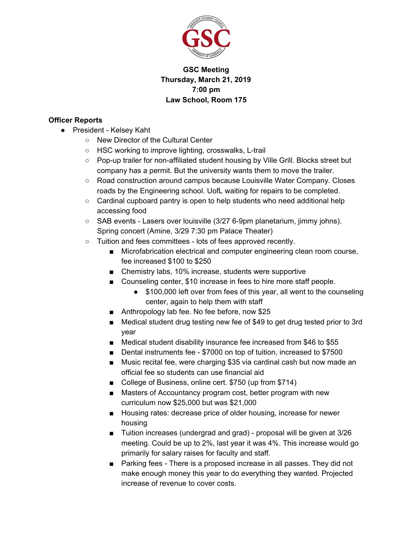

# **GSC Meeting Thursday, March 21, 2019 7:00 pm Law School, Room 175**

# **Officer Reports**

- President Kelsey Kaht
	- New Director of the Cultural Center
	- HSC working to improve lighting, crosswalks, L-trail
	- Pop-up trailer for non-affiliated student housing by Ville Grill. Blocks street but company has a permit. But the university wants them to move the trailer.
	- Road construction around campus because Louisville Water Company. Closes roads by the Engineering school. UofL waiting for repairs to be completed.
	- $\circ$  Cardinal cupboard pantry is open to help students who need additional help accessing food
	- SAB events Lasers over louisville (3/27 6-9pm planetarium, jimmy johns). Spring concert (Amine, 3/29 7:30 pm Palace Theater)
	- Tuition and fees committees lots of fees approved recently.
		- Microfabrication electrical and computer engineering clean room course, fee increased \$100 to \$250
		- Chemistry labs, 10% increase, students were supportive
		- Counseling center, \$10 increase in fees to hire more staff people.
			- \$100,000 left over from fees of this year, all went to the counseling center, again to help them with staff
		- Anthropology lab fee. No fee before, now \$25
		- Medical student drug testing new fee of \$49 to get drug tested prior to 3rd year
		- Medical student disability insurance fee increased from \$46 to \$55
		- Dental instruments fee \$7000 on top of tuition, increased to \$7500
		- Music recital fee, were charging \$35 via cardinal cash but now made an official fee so students can use financial aid
		- College of Business, online cert. \$750 (up from \$714)
		- Masters of Accountancy program cost, better program with new curriculum now \$25,000 but was \$21,000
		- Housing rates: decrease price of older housing, increase for newer housing
		- Tuition increases (undergrad and grad) proposal will be given at 3/26 meeting. Could be up to 2%, last year it was 4%. This increase would go primarily for salary raises for faculty and staff.
		- Parking fees There is a proposed increase in all passes. They did not make enough money this year to do everything they wanted. Projected increase of revenue to cover costs.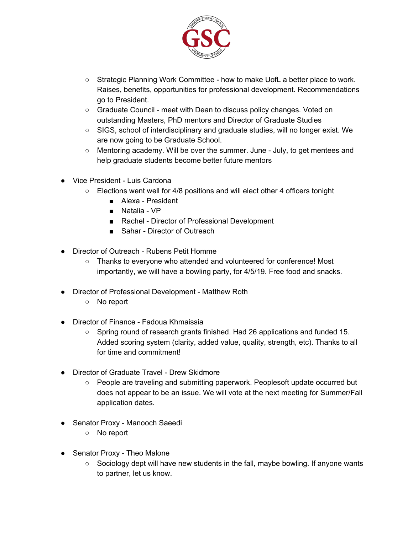

- Strategic Planning Work Committee how to make UofL a better place to work. Raises, benefits, opportunities for professional development. Recommendations go to President.
- Graduate Council meet with Dean to discuss policy changes. Voted on outstanding Masters, PhD mentors and Director of Graduate Studies
- SIGS, school of interdisciplinary and graduate studies, will no longer exist. We are now going to be Graduate School.
- $\circ$  Mentoring academy. Will be over the summer. June July, to get mentees and help graduate students become better future mentors
- Vice President Luis Cardona
	- Elections went well for 4/8 positions and will elect other 4 officers tonight
		- Alexa President
		- Natalia VP
		- Rachel Director of Professional Development
		- Sahar Director of Outreach
- Director of Outreach Rubens Petit Homme
	- Thanks to everyone who attended and volunteered for conference! Most importantly, we will have a bowling party, for 4/5/19. Free food and snacks.
- Director of Professional Development Matthew Roth
	- No report
- Director of Finance Fadoua Khmaissia
	- $\circ$  Spring round of research grants finished. Had 26 applications and funded 15. Added scoring system (clarity, added value, quality, strength, etc). Thanks to all for time and commitment!
- Director of Graduate Travel Drew Skidmore
	- People are traveling and submitting paperwork. Peoplesoft update occurred but does not appear to be an issue. We will vote at the next meeting for Summer/Fall application dates.
- Senator Proxy Manooch Saeedi
	- No report
- Senator Proxy Theo Malone
	- $\circ$  Sociology dept will have new students in the fall, maybe bowling. If anyone wants to partner, let us know.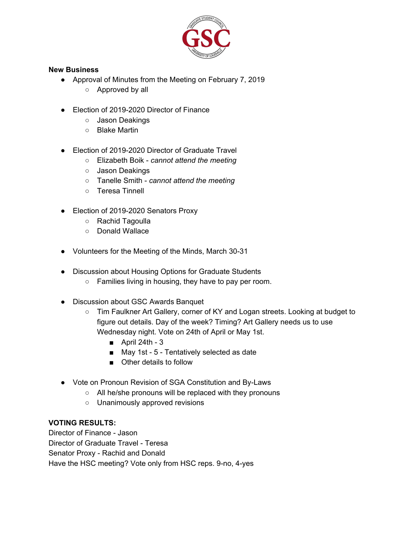

#### **New Business**

- Approval of Minutes from the Meeting on February 7, 2019
	- Approved by all
- Election of 2019-2020 Director of Finance
	- Jason Deakings
	- Blake Martin
- Election of 2019-2020 Director of Graduate Travel
	- Elizabeth Boik *cannot attend the meeting*
	- Jason Deakings
	- Tanelle Smith *cannot attend the meeting*
	- Teresa Tinnell
- Election of 2019-2020 Senators Proxy
	- Rachid Tagoulla
	- Donald Wallace
- Volunteers for the Meeting of the Minds, March 30-31
- Discussion about Housing Options for Graduate Students
	- Families living in housing, they have to pay per room.
- Discussion about GSC Awards Banquet
	- Tim Faulkner Art Gallery, corner of KY and Logan streets. Looking at budget to figure out details. Day of the week? Timing? Art Gallery needs us to use Wednesday night. Vote on 24th of April or May 1st.
		- $\blacksquare$  April 24th 3
		- May 1st 5 Tentatively selected as date
		- Other details to follow
- Vote on Pronoun Revision of SGA Constitution and By-Laws
	- All he/she pronouns will be replaced with they pronouns
	- Unanimously approved revisions

## **VOTING RESULTS:**

Director of Finance - Jason Director of Graduate Travel - Teresa Senator Proxy - Rachid and Donald Have the HSC meeting? Vote only from HSC reps. 9-no, 4-yes